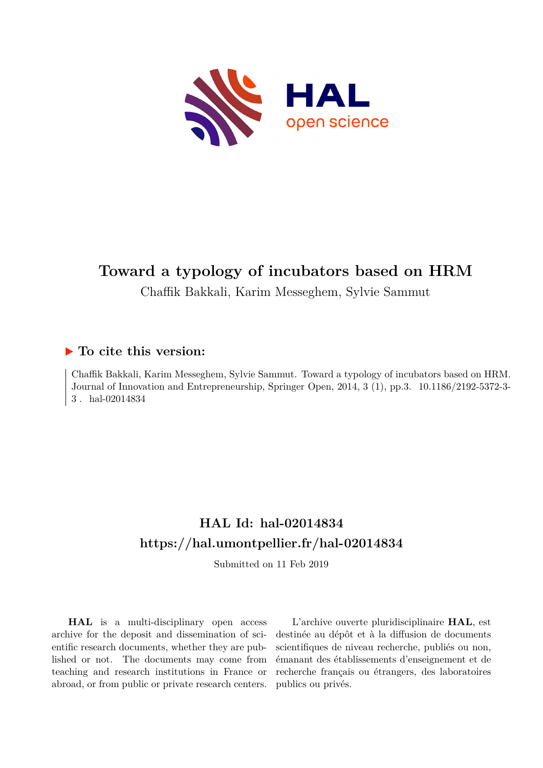

# **Toward a typology of incubators based on HRM**

Chaffik Bakkali, Karim Messeghem, Sylvie Sammut

# **To cite this version:**

Chaffik Bakkali, Karim Messeghem, Sylvie Sammut. Toward a typology of incubators based on HRM. Journal of Innovation and Entrepreneurship, Springer Open,  $2014$ ,  $3$  (1), pp.3.  $10.1186/2192-5372-3-$ 3. hal-02014834

# **HAL Id: hal-02014834 <https://hal.umontpellier.fr/hal-02014834>**

Submitted on 11 Feb 2019

**HAL** is a multi-disciplinary open access archive for the deposit and dissemination of scientific research documents, whether they are published or not. The documents may come from teaching and research institutions in France or abroad, or from public or private research centers.

L'archive ouverte pluridisciplinaire **HAL**, est destinée au dépôt et à la diffusion de documents scientifiques de niveau recherche, publiés ou non, émanant des établissements d'enseignement et de recherche français ou étrangers, des laboratoires publics ou privés.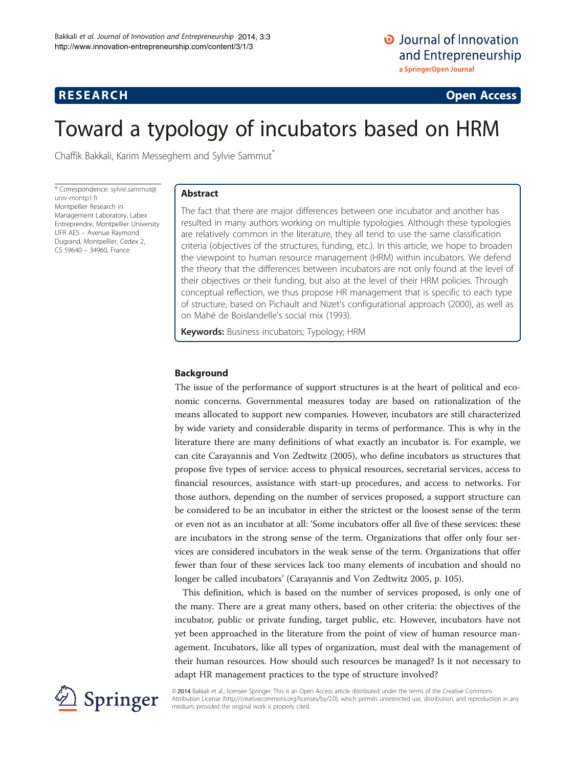## **RESEARCH RESEARCH CONSUMING ACCESS**

# Toward a typology of incubators based on HRM

Chaffik Bakkali, Karim Messeghem and Sylvie Sammut\*

\* Correspondence: [sylvie.sammut@](mailto:sylvie.sammut@univ-montp1.fr) [univ-montp1.fr](mailto:sylvie.sammut@univ-montp1.fr) Montpellier Research in Management Laboratory, Labex Entreprendre, Montpellier University UFR AES – Avenue Raymond Dugrand, Montpellier, Cedex 2, CS 59640 – 34960, France

### Abstract

The fact that there are major differences between one incubator and another has resulted in many authors working on multiple typologies. Although these typologies are relatively common in the literature, they all tend to use the same classification criteria (objectives of the structures, funding, etc.). In this article, we hope to broaden the viewpoint to human resource management (HRM) within incubators. We defend the theory that the differences between incubators are not only found at the level of their objectives or their funding, but also at the level of their HRM policies. Through conceptual reflection, we thus propose HR management that is specific to each type of structure, based on Pichault and Nizet's configurational approach (2000), as well as on Mahé de Boislandelle's social mix (1993).

Keywords: Business incubators; Typology; HRM

### Background

The issue of the performance of support structures is at the heart of political and economic concerns. Governmental measures today are based on rationalization of the means allocated to support new companies. However, incubators are still characterized by wide variety and considerable disparity in terms of performance. This is why in the literature there are many definitions of what exactly an incubator is. For example, we can cite Carayannis and Von Zedtwitz (2005), who define incubators as structures that propose five types of service: access to physical resources, secretarial services, access to financial resources, assistance with start-up procedures, and access to networks. For those authors, depending on the number of services proposed, a support structure can be considered to be an incubator in either the strictest or the loosest sense of the term or even not as an incubator at all: 'Some incubators offer all five of these services: these are incubators in the strong sense of the term. Organizations that offer only four services are considered incubators in the weak sense of the term. Organizations that offer fewer than four of these services lack too many elements of incubation and should no longer be called incubators' (Carayannis and Von Zedtwitz 2005, p. 105).

This definition, which is based on the number of services proposed, is only one of the many. There are a great many others, based on other criteria: the objectives of the incubator, public or private funding, target public, etc. However, incubators have not yet been approached in the literature from the point of view of human resource management. Incubators, like all types of organization, must deal with the management of their human resources. How should such resources be managed? Is it not necessary to adapt HR management practices to the type of structure involved?



 $\circ$  2014 Bakkali et al.; licensee Springer. This is an Open Access article distributed under the terms of the Creative Commons Attribution License [\(http://creativecommons.org/licenses/by/2.0\)](http://creativecommons.org/licenses/by/2.0), which permits unrestricted use, distribution, and reproduction in any medium, provided the original work is properly cited.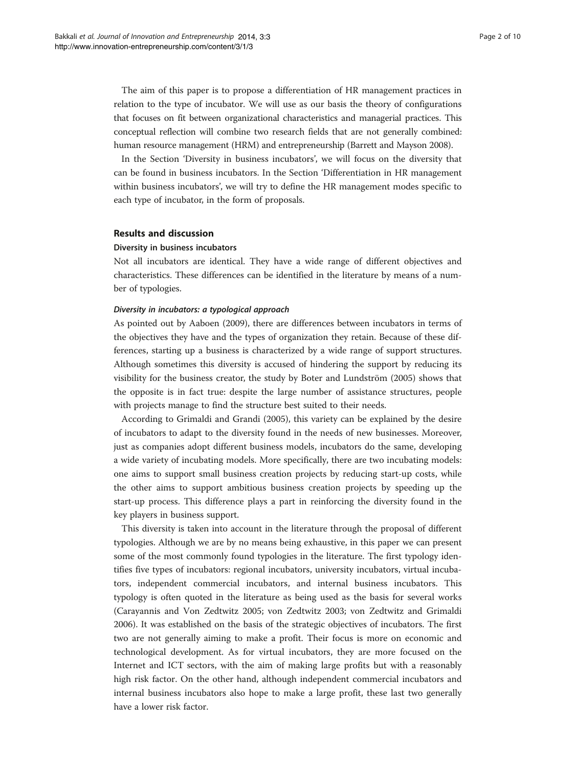The aim of this paper is to propose a differentiation of HR management practices in relation to the type of incubator. We will use as our basis the theory of configurations that focuses on fit between organizational characteristics and managerial practices. This conceptual reflection will combine two research fields that are not generally combined: human resource management (HRM) and entrepreneurship (Barrett and Mayson 2008).

In the Section 'Diversity in business incubators', we will focus on the diversity that can be found in business incubators. In the Section 'Differentiation in HR management within business incubators', we will try to define the HR management modes specific to each type of incubator, in the form of proposals.

### Results and discussion

#### Diversity in business incubators

Not all incubators are identical. They have a wide range of different objectives and characteristics. These differences can be identified in the literature by means of a number of typologies.

As pointed out by Aaboen (2009), there are differences between incubators in terms of the objectives they have and the types of organization they retain. Because of these differences, starting up a business is characterized by a wide range of support structures. Although sometimes this diversity is accused of hindering the support by reducing its visibility for the business creator, the study by Boter and Lundström (2005) shows that the opposite is in fact true: despite the large number of assistance structures, people with projects manage to find the structure best suited to their needs.

According to Grimaldi and Grandi (2005), this variety can be explained by the desire of incubators to adapt to the diversity found in the needs of new businesses. Moreover, just as companies adopt different business models, incubators do the same, developing a wide variety of incubating models. More specifically, there are two incubating models: one aims to support small business creation projects by reducing start-up costs, while the other aims to support ambitious business creation projects by speeding up the start-up process. This difference plays a part in reinforcing the diversity found in the key players in business support.

This diversity is taken into account in the literature through the proposal of different typologies. Although we are by no means being exhaustive, in this paper we can present some of the most commonly found typologies in the literature. The first typology identifies five types of incubators: regional incubators, university incubators, virtual incubators, independent commercial incubators, and internal business incubators. This typology is often quoted in the literature as being used as the basis for several works (Carayannis and Von Zedtwitz 2005; von Zedtwitz 2003; von Zedtwitz and Grimaldi 2006). It was established on the basis of the strategic objectives of incubators. The first two are not generally aiming to make a profit. Their focus is more on economic and technological development. As for virtual incubators, they are more focused on the Internet and ICT sectors, with the aim of making large profits but with a reasonably high risk factor. On the other hand, although independent commercial incubators and internal business incubators also hope to make a large profit, these last two generally have a lower risk factor.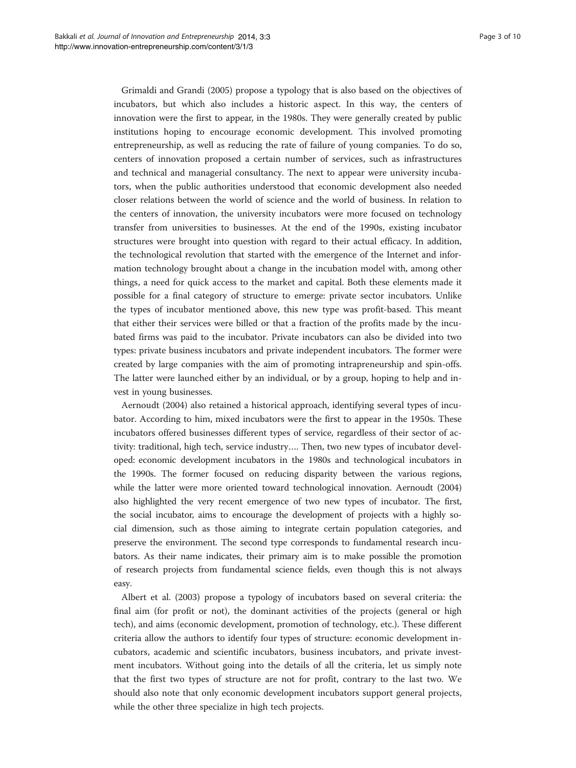Grimaldi and Grandi (2005) propose a typology that is also based on the objectives of incubators, but which also includes a historic aspect. In this way, the centers of innovation were the first to appear, in the 1980s. They were generally created by public institutions hoping to encourage economic development. This involved promoting entrepreneurship, as well as reducing the rate of failure of young companies. To do so, centers of innovation proposed a certain number of services, such as infrastructures and technical and managerial consultancy. The next to appear were university incubators, when the public authorities understood that economic development also needed closer relations between the world of science and the world of business. In relation to the centers of innovation, the university incubators were more focused on technology transfer from universities to businesses. At the end of the 1990s, existing incubator structures were brought into question with regard to their actual efficacy. In addition, the technological revolution that started with the emergence of the Internet and information technology brought about a change in the incubation model with, among other things, a need for quick access to the market and capital. Both these elements made it possible for a final category of structure to emerge: private sector incubators. Unlike the types of incubator mentioned above, this new type was profit-based. This meant that either their services were billed or that a fraction of the profits made by the incubated firms was paid to the incubator. Private incubators can also be divided into two types: private business incubators and private independent incubators. The former were created by large companies with the aim of promoting intrapreneurship and spin-offs. The latter were launched either by an individual, or by a group, hoping to help and invest in young businesses.

Aernoudt (2004) also retained a historical approach, identifying several types of incubator. According to him, mixed incubators were the first to appear in the 1950s. These incubators offered businesses different types of service, regardless of their sector of activity: traditional, high tech, service industry…. Then, two new types of incubator developed: economic development incubators in the 1980s and technological incubators in the 1990s. The former focused on reducing disparity between the various regions, while the latter were more oriented toward technological innovation. Aernoudt (2004) also highlighted the very recent emergence of two new types of incubator. The first, the social incubator, aims to encourage the development of projects with a highly social dimension, such as those aiming to integrate certain population categories, and preserve the environment. The second type corresponds to fundamental research incubators. As their name indicates, their primary aim is to make possible the promotion of research projects from fundamental science fields, even though this is not always easy.

Albert et al. (2003) propose a typology of incubators based on several criteria: the final aim (for profit or not), the dominant activities of the projects (general or high tech), and aims (economic development, promotion of technology, etc.). These different criteria allow the authors to identify four types of structure: economic development incubators, academic and scientific incubators, business incubators, and private investment incubators. Without going into the details of all the criteria, let us simply note that the first two types of structure are not for profit, contrary to the last two. We should also note that only economic development incubators support general projects, while the other three specialize in high tech projects.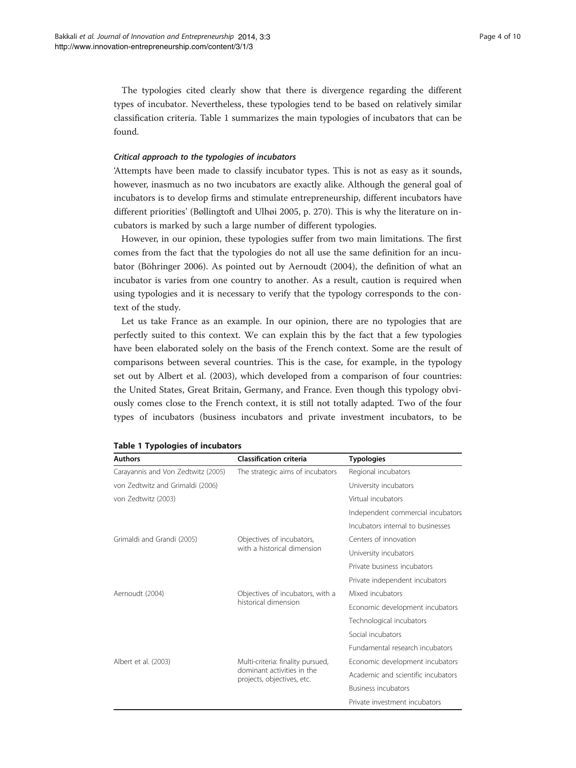The typologies cited clearly show that there is divergence regarding the different types of incubator. Nevertheless, these typologies tend to be based on relatively similar classification criteria. Table 1 summarizes the main typologies of incubators that can be found.

'Attempts have been made to classify incubator types. This is not as easy as it sounds, however, inasmuch as no two incubators are exactly alike. Although the general goal of incubators is to develop firms and stimulate entrepreneurship, different incubators have different priorities' (Bøllingtoft and Ulhøi 2005, p. 270). This is why the literature on incubators is marked by such a large number of different typologies.

However, in our opinion, these typologies suffer from two main limitations. The first comes from the fact that the typologies do not all use the same definition for an incubator (Böhringer 2006). As pointed out by Aernoudt (2004), the definition of what an incubator is varies from one country to another. As a result, caution is required when using typologies and it is necessary to verify that the typology corresponds to the context of the study.

Let us take France as an example. In our opinion, there are no typologies that are perfectly suited to this context. We can explain this by the fact that a few typologies have been elaborated solely on the basis of the French context. Some are the result of comparisons between several countries. This is the case, for example, in the typology set out by Albert et al. (2003), which developed from a comparison of four countries: the United States, Great Britain, Germany, and France. Even though this typology obviously comes close to the French context, it is still not totally adapted. Two of the four types of incubators (business incubators and private investment incubators, to be

| <b>Authors</b>                     | <b>Classification criteria</b>                                                                | <b>Typologies</b>                  |  |
|------------------------------------|-----------------------------------------------------------------------------------------------|------------------------------------|--|
| Carayannis and Von Zedtwitz (2005) | The strategic aims of incubators                                                              | Regional incubators                |  |
| von Zedtwitz and Grimaldi (2006)   |                                                                                               | University incubators              |  |
| von Zedtwitz (2003)                |                                                                                               | Virtual incubators                 |  |
|                                    |                                                                                               | Independent commercial incubators  |  |
|                                    |                                                                                               | Incubators internal to businesses  |  |
| Grimaldi and Grandi (2005)         | Objectives of incubators,<br>with a historical dimension                                      | Centers of innovation              |  |
|                                    |                                                                                               | University incubators              |  |
|                                    |                                                                                               | Private business incubators        |  |
|                                    |                                                                                               | Private independent incubators     |  |
| Aernoudt (2004)                    | Objectives of incubators, with a<br>historical dimension                                      | Mixed incubators                   |  |
|                                    |                                                                                               | Economic development incubators    |  |
|                                    |                                                                                               | Technological incubators           |  |
|                                    |                                                                                               | Social incubators                  |  |
|                                    |                                                                                               | Fundamental research incubators    |  |
| Albert et al. (2003)               | Multi-criteria: finality pursued,<br>dominant activities in the<br>projects, objectives, etc. | Economic development incubators    |  |
|                                    |                                                                                               | Academic and scientific incubators |  |
|                                    |                                                                                               | <b>Business incubators</b>         |  |
|                                    |                                                                                               | Private investment incubators      |  |

#### Table 1 Typologies of incubators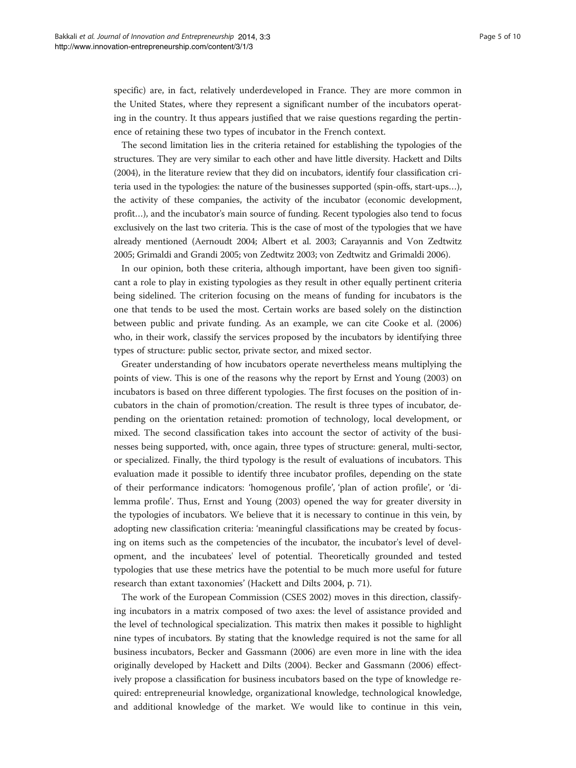specific) are, in fact, relatively underdeveloped in France. They are more common in the United States, where they represent a significant number of the incubators operating in the country. It thus appears justified that we raise questions regarding the pertinence of retaining these two types of incubator in the French context.

The second limitation lies in the criteria retained for establishing the typologies of the structures. They are very similar to each other and have little diversity. Hackett and Dilts (2004), in the literature review that they did on incubators, identify four classification criteria used in the typologies: the nature of the businesses supported (spin-offs, start-ups…), the activity of these companies, the activity of the incubator (economic development, profit…), and the incubator's main source of funding. Recent typologies also tend to focus exclusively on the last two criteria. This is the case of most of the typologies that we have already mentioned (Aernoudt 2004; Albert et al. 2003; Carayannis and Von Zedtwitz 2005; Grimaldi and Grandi 2005; von Zedtwitz 2003; von Zedtwitz and Grimaldi 2006).

In our opinion, both these criteria, although important, have been given too significant a role to play in existing typologies as they result in other equally pertinent criteria being sidelined. The criterion focusing on the means of funding for incubators is the one that tends to be used the most. Certain works are based solely on the distinction between public and private funding. As an example, we can cite Cooke et al. (2006) who, in their work, classify the services proposed by the incubators by identifying three types of structure: public sector, private sector, and mixed sector.

Greater understanding of how incubators operate nevertheless means multiplying the points of view. This is one of the reasons why the report by Ernst and Young (2003) on incubators is based on three different typologies. The first focuses on the position of incubators in the chain of promotion/creation. The result is three types of incubator, depending on the orientation retained: promotion of technology, local development, or mixed. The second classification takes into account the sector of activity of the businesses being supported, with, once again, three types of structure: general, multi-sector, or specialized. Finally, the third typology is the result of evaluations of incubators. This evaluation made it possible to identify three incubator profiles, depending on the state of their performance indicators: 'homogenous profile', 'plan of action profile', or 'dilemma profile'. Thus, Ernst and Young (2003) opened the way for greater diversity in the typologies of incubators. We believe that it is necessary to continue in this vein, by adopting new classification criteria: 'meaningful classifications may be created by focusing on items such as the competencies of the incubator, the incubator's level of development, and the incubatees' level of potential. Theoretically grounded and tested typologies that use these metrics have the potential to be much more useful for future research than extant taxonomies' (Hackett and Dilts 2004, p. 71).

The work of the European Commission (CSES 2002) moves in this direction, classifying incubators in a matrix composed of two axes: the level of assistance provided and the level of technological specialization. This matrix then makes it possible to highlight nine types of incubators. By stating that the knowledge required is not the same for all business incubators, Becker and Gassmann (2006) are even more in line with the idea originally developed by Hackett and Dilts (2004). Becker and Gassmann (2006) effectively propose a classification for business incubators based on the type of knowledge required: entrepreneurial knowledge, organizational knowledge, technological knowledge, and additional knowledge of the market. We would like to continue in this vein,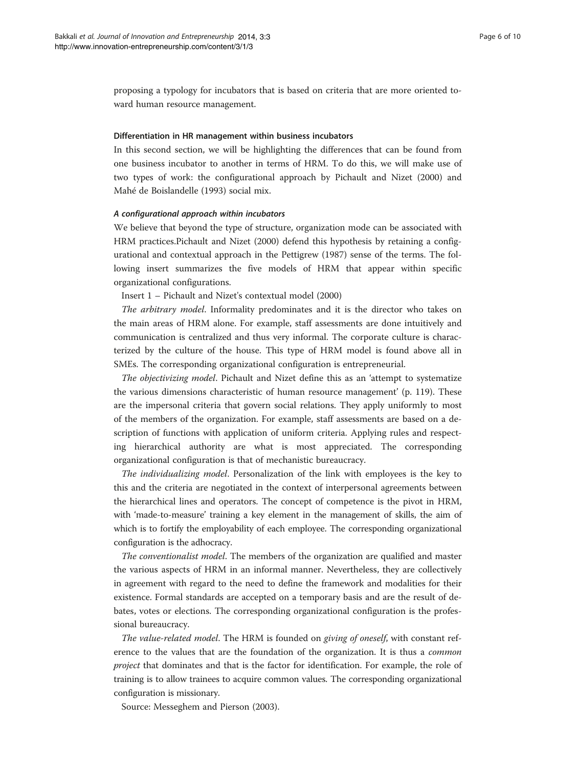proposing a typology for incubators that is based on criteria that are more oriented toward human resource management.

### Differentiation in HR management within business incubators

In this second section, we will be highlighting the differences that can be found from one business incubator to another in terms of HRM. To do this, we will make use of two types of work: the configurational approach by Pichault and Nizet (2000) and Mahé de Boislandelle (1993) social mix.

We believe that beyond the type of structure, organization mode can be associated with HRM practices.Pichault and Nizet (2000) defend this hypothesis by retaining a configurational and contextual approach in the Pettigrew (1987) sense of the terms. The following insert summarizes the five models of HRM that appear within specific organizational configurations.

Insert 1 – Pichault and Nizet's contextual model (2000)

The arbitrary model. Informality predominates and it is the director who takes on the main areas of HRM alone. For example, staff assessments are done intuitively and communication is centralized and thus very informal. The corporate culture is characterized by the culture of the house. This type of HRM model is found above all in SMEs. The corresponding organizational configuration is entrepreneurial.

The objectivizing model. Pichault and Nizet define this as an 'attempt to systematize the various dimensions characteristic of human resource management' (p. 119). These are the impersonal criteria that govern social relations. They apply uniformly to most of the members of the organization. For example, staff assessments are based on a description of functions with application of uniform criteria. Applying rules and respecting hierarchical authority are what is most appreciated. The corresponding organizational configuration is that of mechanistic bureaucracy.

The individualizing model. Personalization of the link with employees is the key to this and the criteria are negotiated in the context of interpersonal agreements between the hierarchical lines and operators. The concept of competence is the pivot in HRM, with 'made-to-measure' training a key element in the management of skills, the aim of which is to fortify the employability of each employee. The corresponding organizational configuration is the adhocracy.

The conventionalist model. The members of the organization are qualified and master the various aspects of HRM in an informal manner. Nevertheless, they are collectively in agreement with regard to the need to define the framework and modalities for their existence. Formal standards are accepted on a temporary basis and are the result of debates, votes or elections. The corresponding organizational configuration is the professional bureaucracy.

The value-related model. The HRM is founded on giving of oneself, with constant reference to the values that are the foundation of the organization. It is thus a common project that dominates and that is the factor for identification. For example, the role of training is to allow trainees to acquire common values. The corresponding organizational configuration is missionary.

Source: Messeghem and Pierson (2003).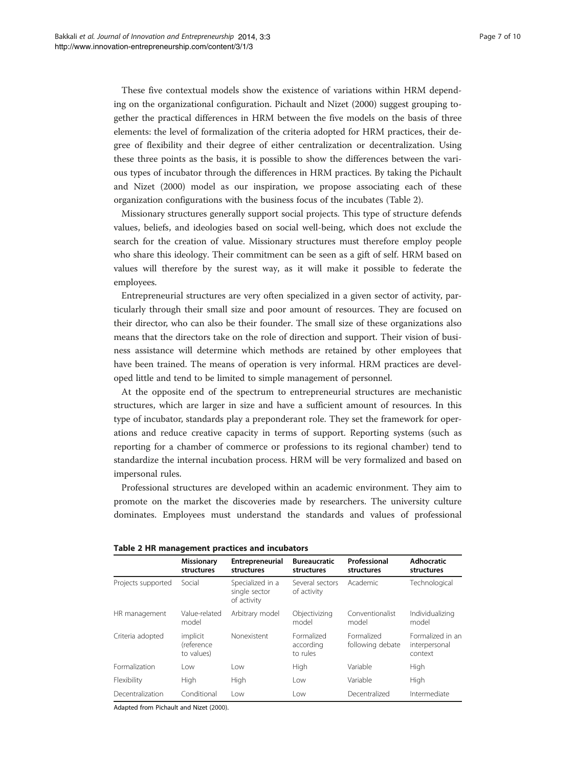These five contextual models show the existence of variations within HRM depending on the organizational configuration. Pichault and Nizet (2000) suggest grouping together the practical differences in HRM between the five models on the basis of three elements: the level of formalization of the criteria adopted for HRM practices, their degree of flexibility and their degree of either centralization or decentralization. Using these three points as the basis, it is possible to show the differences between the various types of incubator through the differences in HRM practices. By taking the Pichault and Nizet (2000) model as our inspiration, we propose associating each of these organization configurations with the business focus of the incubates (Table 2).

Missionary structures generally support social projects. This type of structure defends values, beliefs, and ideologies based on social well-being, which does not exclude the search for the creation of value. Missionary structures must therefore employ people who share this ideology. Their commitment can be seen as a gift of self. HRM based on values will therefore by the surest way, as it will make it possible to federate the employees.

Entrepreneurial structures are very often specialized in a given sector of activity, particularly through their small size and poor amount of resources. They are focused on their director, who can also be their founder. The small size of these organizations also means that the directors take on the role of direction and support. Their vision of business assistance will determine which methods are retained by other employees that have been trained. The means of operation is very informal. HRM practices are developed little and tend to be limited to simple management of personnel.

At the opposite end of the spectrum to entrepreneurial structures are mechanistic structures, which are larger in size and have a sufficient amount of resources. In this type of incubator, standards play a preponderant role. They set the framework for operations and reduce creative capacity in terms of support. Reporting systems (such as reporting for a chamber of commerce or professions to its regional chamber) tend to standardize the internal incubation process. HRM will be very formalized and based on impersonal rules.

Professional structures are developed within an academic environment. They aim to promote on the market the discoveries made by researchers. The university culture dominates. Employees must understand the standards and values of professional

|                    | <b>Missionary</b><br>structures              | Entrepreneurial<br>structures                    | <b>Bureaucratic</b><br>structures   | Professional<br>structures     | <b>Adhocratic</b><br>structures              |
|--------------------|----------------------------------------------|--------------------------------------------------|-------------------------------------|--------------------------------|----------------------------------------------|
| Projects supported | Social                                       | Specialized in a<br>single sector<br>of activity | Several sectors<br>of activity      | Academic                       | Technological                                |
| HR management      | Value-related<br>model                       | Arbitrary model                                  | Objectivizing<br>model              | Conventionalist<br>model       | Individualizing<br>model                     |
| Criteria adopted   | implicit<br><i>(reference)</i><br>to values) | Nonexistent                                      | Formalized<br>according<br>to rules | Formalized<br>following debate | Formalized in an<br>interpersonal<br>context |
| Formalization      | l ow                                         | Low                                              | High                                | Variable                       | High                                         |
| Flexibility        | High                                         | High                                             | l ow                                | Variable                       | High                                         |
| Decentralization   | Conditional                                  | Low                                              | Low                                 | Decentralized                  | Intermediate                                 |

Table 2 HR management practices and incubators

Adapted from Pichault and Nizet (2000).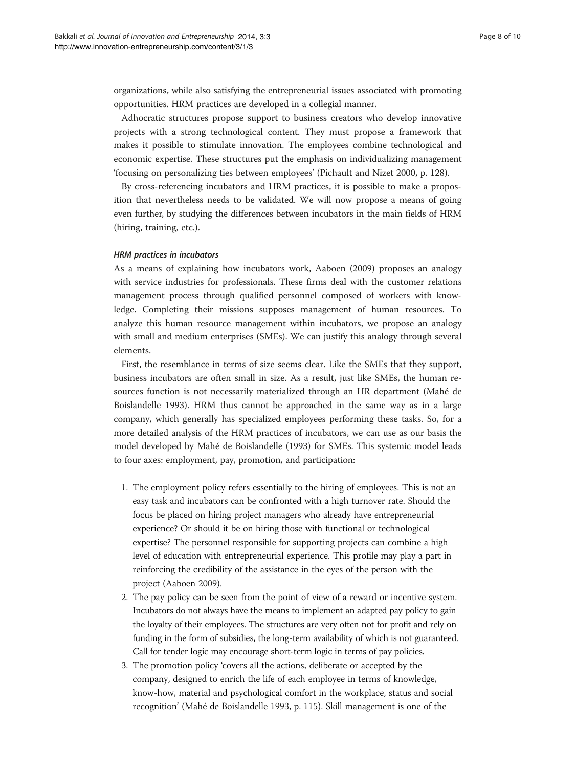organizations, while also satisfying the entrepreneurial issues associated with promoting opportunities. HRM practices are developed in a collegial manner.

Adhocratic structures propose support to business creators who develop innovative projects with a strong technological content. They must propose a framework that makes it possible to stimulate innovation. The employees combine technological and economic expertise. These structures put the emphasis on individualizing management 'focusing on personalizing ties between employees' (Pichault and Nizet 2000, p. 128).

By cross-referencing incubators and HRM practices, it is possible to make a proposition that nevertheless needs to be validated. We will now propose a means of going even further, by studying the differences between incubators in the main fields of HRM (hiring, training, etc.).

As a means of explaining how incubators work, Aaboen (2009) proposes an analogy with service industries for professionals. These firms deal with the customer relations management process through qualified personnel composed of workers with knowledge. Completing their missions supposes management of human resources. To analyze this human resource management within incubators, we propose an analogy with small and medium enterprises (SMEs). We can justify this analogy through several elements.

First, the resemblance in terms of size seems clear. Like the SMEs that they support, business incubators are often small in size. As a result, just like SMEs, the human resources function is not necessarily materialized through an HR department (Mahé de Boislandelle 1993). HRM thus cannot be approached in the same way as in a large company, which generally has specialized employees performing these tasks. So, for a more detailed analysis of the HRM practices of incubators, we can use as our basis the model developed by Mahé de Boislandelle (1993) for SMEs. This systemic model leads to four axes: employment, pay, promotion, and participation:

- 1. The employment policy refers essentially to the hiring of employees. This is not an easy task and incubators can be confronted with a high turnover rate. Should the focus be placed on hiring project managers who already have entrepreneurial experience? Or should it be on hiring those with functional or technological expertise? The personnel responsible for supporting projects can combine a high level of education with entrepreneurial experience. This profile may play a part in reinforcing the credibility of the assistance in the eyes of the person with the project (Aaboen 2009).
- 2. The pay policy can be seen from the point of view of a reward or incentive system. Incubators do not always have the means to implement an adapted pay policy to gain the loyalty of their employees. The structures are very often not for profit and rely on funding in the form of subsidies, the long-term availability of which is not guaranteed. Call for tender logic may encourage short-term logic in terms of pay policies.
- 3. The promotion policy 'covers all the actions, deliberate or accepted by the company, designed to enrich the life of each employee in terms of knowledge, know-how, material and psychological comfort in the workplace, status and social recognition' (Mahé de Boislandelle 1993, p. 115). Skill management is one of the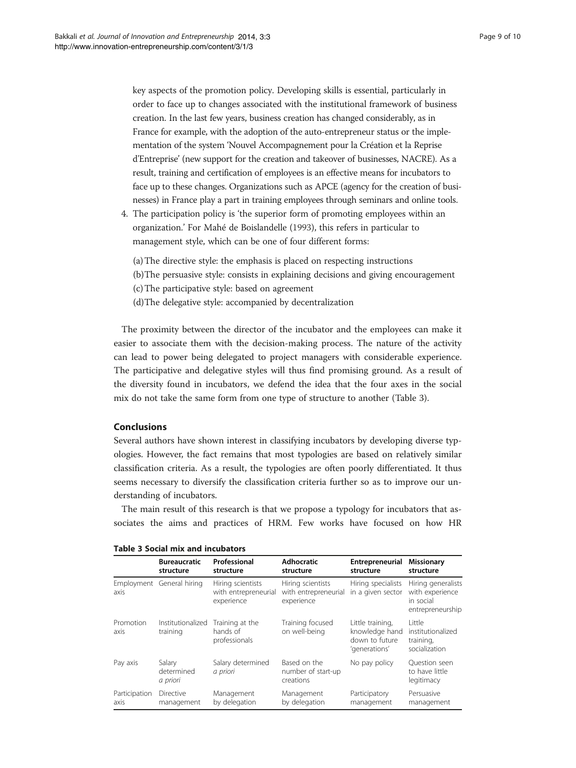key aspects of the promotion policy. Developing skills is essential, particularly in order to face up to changes associated with the institutional framework of business creation. In the last few years, business creation has changed considerably, as in France for example, with the adoption of the auto-entrepreneur status or the implementation of the system 'Nouvel Accompagnement pour la Création et la Reprise d'Entreprise' (new support for the creation and takeover of businesses, NACRE). As a result, training and certification of employees is an effective means for incubators to face up to these changes. Organizations such as APCE (agency for the creation of businesses) in France play a part in training employees through seminars and online tools.

- 4. The participation policy is 'the superior form of promoting employees within an organization.' For Mahé de Boislandelle (1993), this refers in particular to management style, which can be one of four different forms:
	- (a)The directive style: the emphasis is placed on respecting instructions
	- (b)The persuasive style: consists in explaining decisions and giving encouragement
	- (c)The participative style: based on agreement
	- (d)The delegative style: accompanied by decentralization

The proximity between the director of the incubator and the employees can make it easier to associate them with the decision-making process. The nature of the activity can lead to power being delegated to project managers with considerable experience. The participative and delegative styles will thus find promising ground. As a result of the diversity found in incubators, we defend the idea that the four axes in the social mix do not take the same form from one type of structure to another (Table 3).

### Conclusions

Several authors have shown interest in classifying incubators by developing diverse typologies. However, the fact remains that most typologies are based on relatively similar classification criteria. As a result, the typologies are often poorly differentiated. It thus seems necessary to diversify the classification criteria further so as to improve our understanding of incubators.

The main result of this research is that we propose a typology for incubators that associates the aims and practices of HRM. Few works have focused on how HR

| TADIE 3 JULIAI IIIIA ANU IIILUDALUIS |                                  |                                                         |                                                         |                                                                       |                                                                        |  |  |  |
|--------------------------------------|----------------------------------|---------------------------------------------------------|---------------------------------------------------------|-----------------------------------------------------------------------|------------------------------------------------------------------------|--|--|--|
|                                      | <b>Bureaucratic</b><br>structure | Professional<br>structure                               | <b>Adhocratic</b><br>structure                          | Entrepreneurial<br>structure                                          | <b>Missionary</b><br>structure                                         |  |  |  |
| axis                                 | Employment General hiring        | Hiring scientists<br>with entrepreneurial<br>experience | Hiring scientists<br>with entrepreneurial<br>experience | Hiring specialists<br>in a given sector                               | Hiring generalists<br>with experience<br>in social<br>entrepreneurship |  |  |  |
| Promotion<br>axis                    | Institutionalized<br>training    | Training at the<br>hands of<br>professionals            | Training focused<br>on well-being                       | Little training,<br>knowledge hand<br>down to future<br>'generations' | l ittle<br>institutionalized<br>training,<br>socialization             |  |  |  |
| Pay axis                             | Salary<br>determined<br>a priori | Salary determined<br>a priori                           | Based on the<br>number of start-up<br>creations         | No pay policy                                                         | Ouestion seen<br>to have little<br>legitimacy                          |  |  |  |
| Participation<br>axis                | Directive<br>management          | Management<br>by delegation                             | Management<br>by delegation                             | Participatory<br>management                                           | Persuasive<br>management                                               |  |  |  |

### Table 3 Social mix and incubators